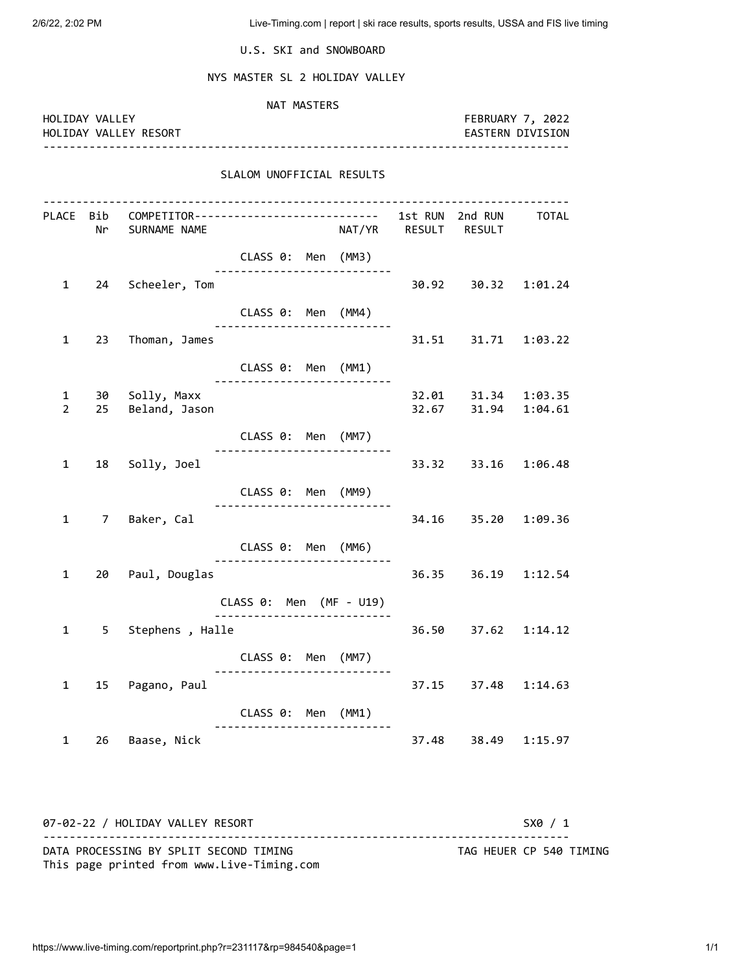2/6/22, 2:02 PM Live-Timing.com | report | ski race results, sports results, USSA and FIS live timing

U.S. SKI and SNOWBOARD

NYS MASTER SL 2 HOLIDAY VALLEY

| HOLIDAY VALLEY      |    | HOLIDAY VALLEY RESORT                                                                                  | NAT MASTERS                                    |  |                      |       | FEBRUARY 7, 2022<br>EASTERN DIVISION       |         |  |
|---------------------|----|--------------------------------------------------------------------------------------------------------|------------------------------------------------|--|----------------------|-------|--------------------------------------------|---------|--|
|                     |    |                                                                                                        | SLALOM UNOFFICIAL RESULTS                      |  |                      |       |                                            |         |  |
|                     |    | PLACE Bib        COMPETITOR---------------------------       1st RUN        2nd RUN<br>Nr SURNAME NAME |                                                |  | NAT/YR RESULT RESULT |       |                                            | TOTAL   |  |
|                     |    |                                                                                                        | CLASS 0: Men (MM3)                             |  |                      |       |                                            |         |  |
| $\mathbf{1}$        |    | 24 Scheeler, Tom                                                                                       |                                                |  |                      |       | 30.92 30.32 1:01.24                        |         |  |
|                     |    |                                                                                                        | CLASS 0: Men (MM4)                             |  |                      |       |                                            |         |  |
| 1                   |    | 23 Thoman, James                                                                                       |                                                |  |                      |       |                                            |         |  |
|                     |    |                                                                                                        | CLASS 0: Men (MM1)<br>------------------------ |  |                      |       |                                            |         |  |
| 1<br>$\overline{2}$ | 25 | 30 Solly, Maxx<br>Beland, Jason                                                                        |                                                |  |                      |       | 32.01 31.34 1:03.35<br>32.67 31.94 1:04.61 |         |  |
|                     |    |                                                                                                        | CLASS 0: Men (MM7)                             |  |                      |       |                                            |         |  |
| 1                   |    | 18 Solly, Joel                                                                                         |                                                |  |                      |       | 33.32 33.16 1:06.48                        |         |  |
|                     |    |                                                                                                        | CLASS 0: Men (MM9)                             |  |                      |       |                                            |         |  |
| $\mathbf{1}$        |    | 7 Baker, Cal                                                                                           |                                                |  |                      |       | 34.16 35.20 1:09.36                        |         |  |
|                     |    |                                                                                                        | CLASS 0: Men (MM6)                             |  |                      |       |                                            |         |  |
| 1                   |    | 20 Paul, Douglas                                                                                       |                                                |  |                      |       | 36.35 36.19 1:12.54                        |         |  |
|                     |    |                                                                                                        | CLASS 0: Men (MF - U19)<br>.                   |  |                      |       |                                            |         |  |
| 1                   |    | 5 Stephens, Halle                                                                                      |                                                |  |                      |       | 36.50 37.62 1:14.12                        |         |  |
|                     |    |                                                                                                        | CLASS 0: Men (MM7)                             |  |                      |       |                                            |         |  |
| 1                   | 15 | Pagano, Paul                                                                                           |                                                |  |                      | 37.15 | 37.48                                      | 1:14.63 |  |
|                     |    |                                                                                                        | CLASS 0: Men (MM1)                             |  |                      |       |                                            |         |  |
| $\mathbf{1}$        | 26 | Baase, Nick                                                                                            |                                                |  |                      | 37.48 | 38.49                                      | 1:15.97 |  |

07-02-22 / HOLIDAY VALLEY RESORT SX0 / 1 -------------------------------------------------------------------------------- DATA PROCESSING BY SPLIT SECOND TIMING TAG HEUER CP 540 TIMING This page printed from www.Live-Timing.com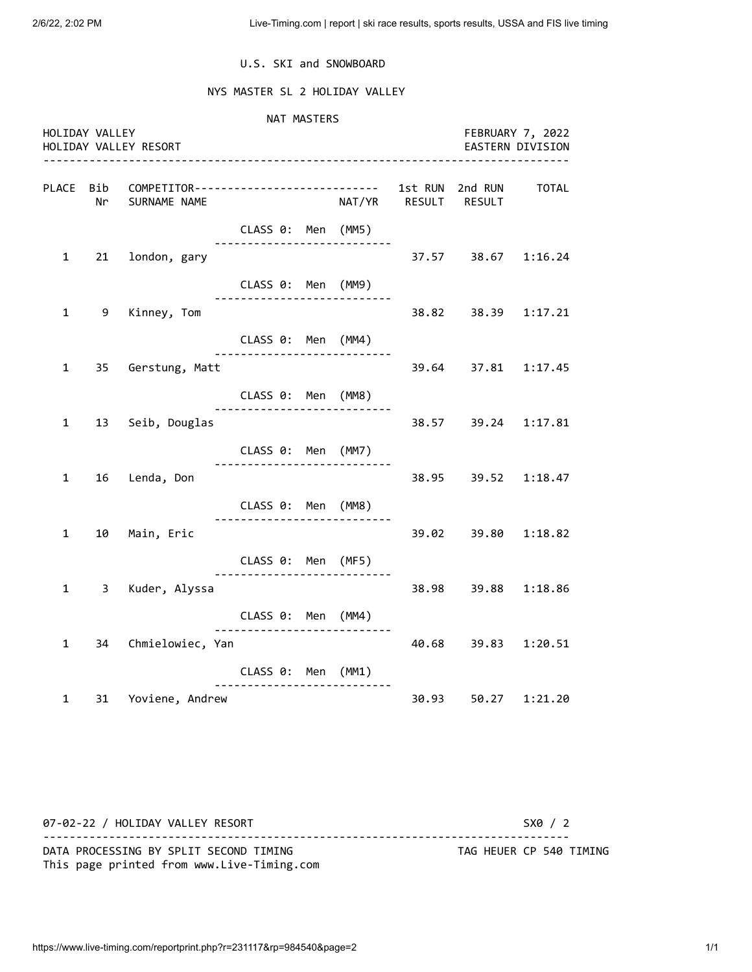## U.S. SKI and SNOWBOARD

## NYS MASTER SL 2 HOLIDAY VALLEY

 NAT MASTERS HOLIDAY VALLEY FEBRUARY 7, 2022 HOLIDAY VALLEY RESORT EASTERN DIVISION -------------------------------------------------------------------------------- PLACE Bib COMPETITOR---------------------------- 1st RUN 2nd RUN TOTAL Nr SURNAME NAME NAT/YR RESULT RESULT CLASS 0: Men (MM5) --------------------------- 1 21 london, gary 37.57 38.67 1:16.24 CLASS 0: Men (MM9) --------------------------- 1 9 Kinney, Tom 38.82 38.39 1:17.21 CLASS 0: Men (MM4) --------------------------- 1 35 Gerstung, Matt 39.64 37.81 1:17.45 CLASS 0: Men (MM8) --------------------------- 1 13 Seib, Douglas 38.57 39.24 1:17.81 CLASS 0: Men (MM7) --------------------------- 1 16 Lenda, Don 38.95 39.52 1:18.47 CLASS 0: Men (MM8) --------------------------- 1 10 Main, Eric 39.02 39.80 1:18.82 CLASS 0: Men (MF5) --------------------------- 1 3 Kuder, Alyssa 38.98 39.88 1:18.86 CLASS 0: Men (MM4) --------------------------- 1 34 Chmielowiec, Yan 40.68 39.83 1:20.51 CLASS 0: Men (MM1) --------------------------- 1 31 Yoviene, Andrew 30.93 50.27 1:21.20

07-02-22 / HOLIDAY VALLEY RESORT SX0 / 2 -------------------------------------------------------------------------------- DATA PROCESSING BY SPLIT SECOND TIMING TAG HEUER CP 540 TIMING This page printed from www.Live-Timing.com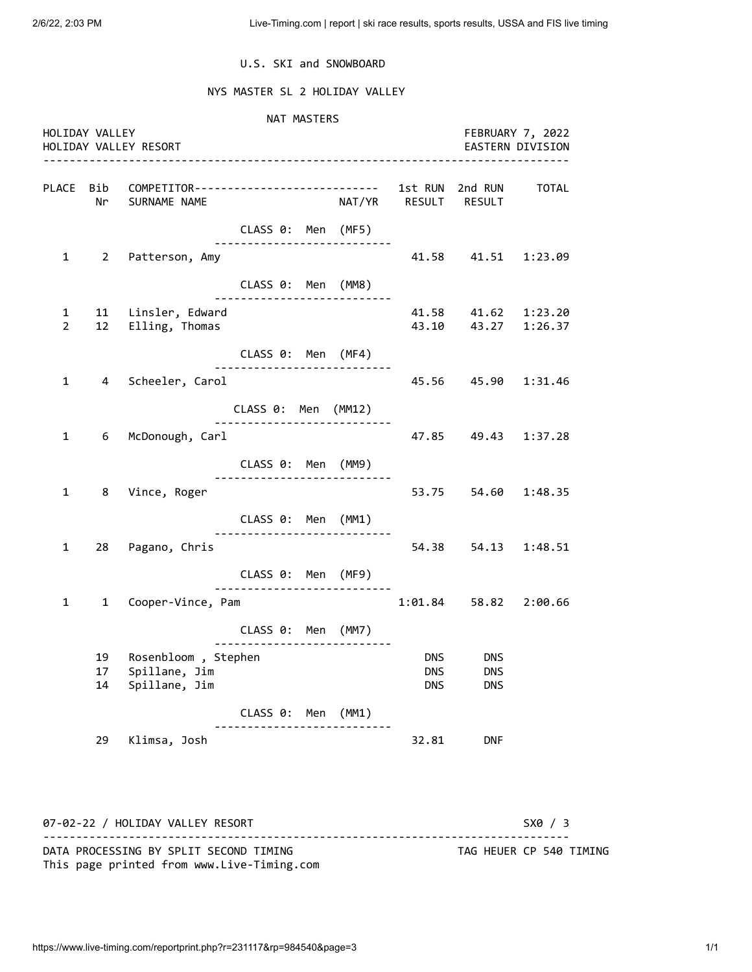## U.S. SKI and SNOWBOARD

## NYS MASTER SL 2 HOLIDAY VALLEY

 NAT MASTERS HOLIDAY VALLEY FEBRUARY 7, 2022 HOLIDAY VALLEY RESORT EASTERN DIVISION -------------------------------------------------------------------------------- PLACE Bib COMPETITOR---------------------------- 1st RUN 2nd RUN TOTAL Nr SURNAME NAME NAT/YR RESULT RESULT CLASS 0: Men (MF5) --------------------------- 1 2 Patterson, Amy 11.58 41.58 41.51 1:23.09 CLASS 0: Men (MM8) --------------------------- 1 11 Linsler, Edward 41.58 41.62 1:23.20 2 12 Elling, Thomas 43.10 43.27 1:26.37 CLASS 0: Men (MF4) --------------------------- 1 4 Scheeler, Carol 45.56 45.90 1:31.46 CLASS 0: Men (MM12) --------------------------- 1 6 McDonough, Carl 47.85 49.43 1:37.28 CLASS 0: Men (MM9) --------------------------- 1 8 Vince, Roger 53.75 54.60 1:48.35 CLASS 0: Men (MM1) --------------------------- 1 28 Pagano, Chris 54.38 54.13 1:48.51 CLASS 0: Men (MF9) --------------------------- 1 1 Cooper-Vince, Pam 1:01.84 58.82 2:00.66 CLASS 0: Men (MM7) --------------------------- 19 Rosenbloom , Stephen DNS DNS DNS DNS 17 Spillane, Jim DNS DNS DNS 14 Spillane, Jim **DNS** DNS DNS CLASS 0: Men (MM1) --------------------------- 29 Klimsa, Josh 32.81 DNF

07-02-22 / HOLIDAY VALLEY RESORT SX0 / 3 -------------------------------------------------------------------------------- DATA PROCESSING BY SPLIT SECOND TIMING TAG HEUER CP 540 TIMING This page printed from www.Live-Timing.com